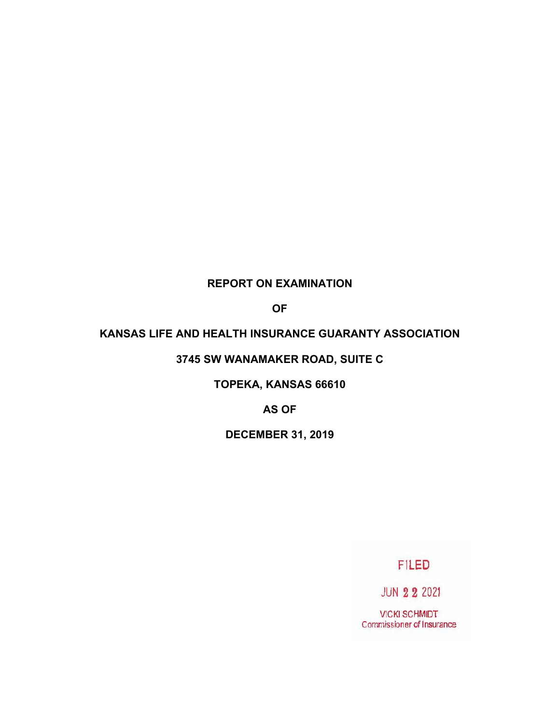## **REPORT ON EXAMINATION**

**OF**

### **KANSAS LIFE AND HEALTH INSURANCE GUARANTY ASSOCIATION**

## **3745 SW WANAMAKER ROAD, SUITE C**

**TOPEKA, KANSAS 66610**

**AS OF**

**DECEMBER 31, 2019** 

**FILED** 

**JUN 2 2 2021** 

**VICKI SCHMIDT** Commissioner of Insurance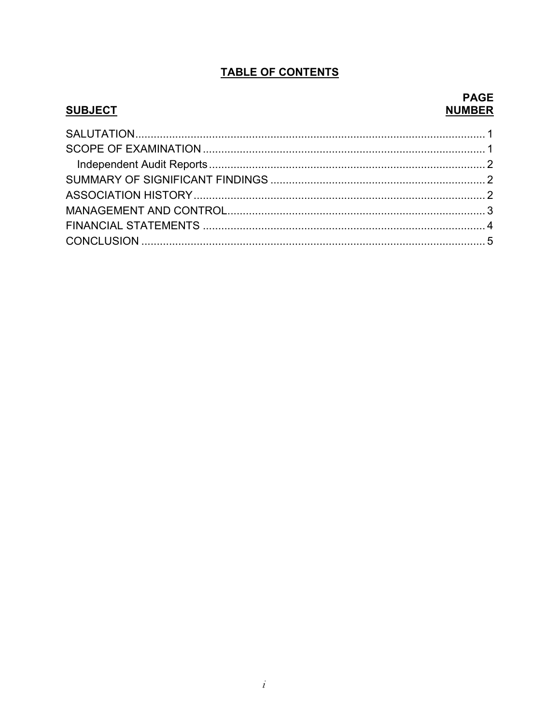# **TABLE OF CONTENTS**

## **SUBJECT**

## **PAGE NUMBER**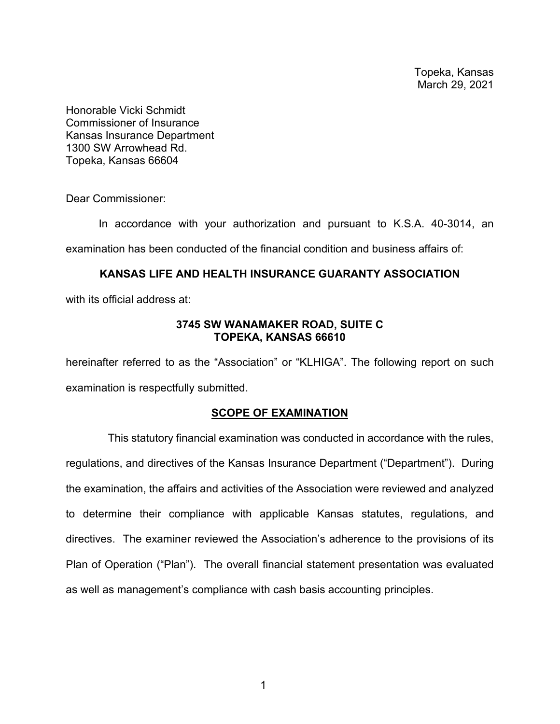Topeka, Kansas March 29, 2021

Honorable Vicki Schmidt Commissioner of Insurance Kansas Insurance Department 1300 SW Arrowhead Rd. Topeka, Kansas 66604

Dear Commissioner:

In accordance with your authorization and pursuant to K.S.A. 40-3014, an examination has been conducted of the financial condition and business affairs of:

### **KANSAS LIFE AND HEALTH INSURANCE GUARANTY ASSOCIATION**

with its official address at:

### **3745 SW WANAMAKER ROAD, SUITE C TOPEKA, KANSAS 66610**

hereinafter referred to as the "Association" or "KLHIGA". The following report on such examination is respectfully submitted.

### **SCOPE OF EXAMINATION**

 This statutory financial examination was conducted in accordance with the rules, regulations, and directives of the Kansas Insurance Department ("Department"). During the examination, the affairs and activities of the Association were reviewed and analyzed to determine their compliance with applicable Kansas statutes, regulations, and directives. The examiner reviewed the Association's adherence to the provisions of its Plan of Operation ("Plan"). The overall financial statement presentation was evaluated as well as management's compliance with cash basis accounting principles.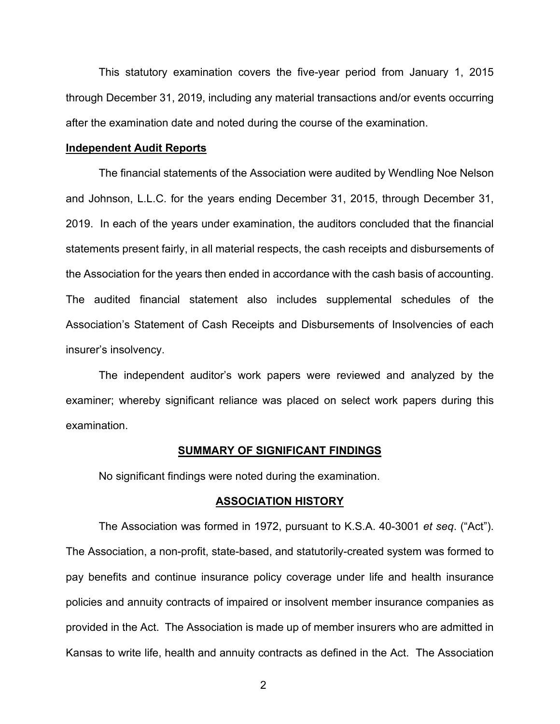This statutory examination covers the five-year period from January 1, 2015 through December 31, 2019, including any material transactions and/or events occurring after the examination date and noted during the course of the examination.

#### **Independent Audit Reports**

The financial statements of the Association were audited by Wendling Noe Nelson and Johnson, L.L.C. for the years ending December 31, 2015, through December 31, 2019. In each of the years under examination, the auditors concluded that the financial statements present fairly, in all material respects, the cash receipts and disbursements of the Association for the years then ended in accordance with the cash basis of accounting. The audited financial statement also includes supplemental schedules of the Association's Statement of Cash Receipts and Disbursements of Insolvencies of each insurer's insolvency.

The independent auditor's work papers were reviewed and analyzed by the examiner; whereby significant reliance was placed on select work papers during this examination.

#### **SUMMARY OF SIGNIFICANT FINDINGS**

No significant findings were noted during the examination.

#### **ASSOCIATION HISTORY**

The Association was formed in 1972, pursuant to K.S.A. 40-3001 *et seq*. ("Act"). The Association, a non-profit, state-based, and statutorily-created system was formed to pay benefits and continue insurance policy coverage under life and health insurance policies and annuity contracts of impaired or insolvent member insurance companies as provided in the Act. The Association is made up of member insurers who are admitted in Kansas to write life, health and annuity contracts as defined in the Act. The Association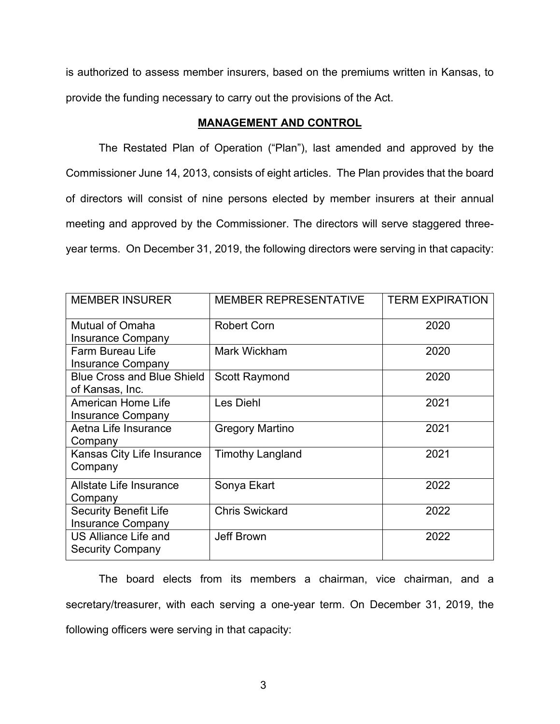is authorized to assess member insurers, based on the premiums written in Kansas, to provide the funding necessary to carry out the provisions of the Act.

#### **MANAGEMENT AND CONTROL**

The Restated Plan of Operation ("Plan"), last amended and approved by the Commissioner June 14, 2013, consists of eight articles. The Plan provides that the board of directors will consist of nine persons elected by member insurers at their annual meeting and approved by the Commissioner. The directors will serve staggered threeyear terms. On December 31, 2019, the following directors were serving in that capacity:

| <b>MEMBER INSURER</b>                                    | <b>MEMBER REPRESENTATIVE</b> | <b>TERM EXPIRATION</b> |  |
|----------------------------------------------------------|------------------------------|------------------------|--|
| <b>Mutual of Omaha</b><br><b>Insurance Company</b>       | <b>Robert Corn</b>           | 2020                   |  |
| <b>Farm Bureau Life</b><br><b>Insurance Company</b>      | Mark Wickham                 | 2020                   |  |
| <b>Blue Cross and Blue Shield</b><br>of Kansas, Inc.     | Scott Raymond                | 2020                   |  |
| <b>American Home Life</b><br><b>Insurance Company</b>    | Les Diehl                    | 2021                   |  |
| Aetna Life Insurance<br>Company                          | <b>Gregory Martino</b>       | 2021                   |  |
| Kansas City Life Insurance<br>Company                    | <b>Timothy Langland</b>      | 2021                   |  |
| <b>Allstate Life Insurance</b><br>Company                | Sonya Ekart                  | 2022                   |  |
| <b>Security Benefit Life</b><br><b>Insurance Company</b> | <b>Chris Swickard</b>        | 2022                   |  |
| <b>US Alliance Life and</b><br><b>Security Company</b>   | <b>Jeff Brown</b>            | 2022                   |  |

The board elects from its members a chairman, vice chairman, and a secretary/treasurer, with each serving a one-year term. On December 31, 2019, the following officers were serving in that capacity: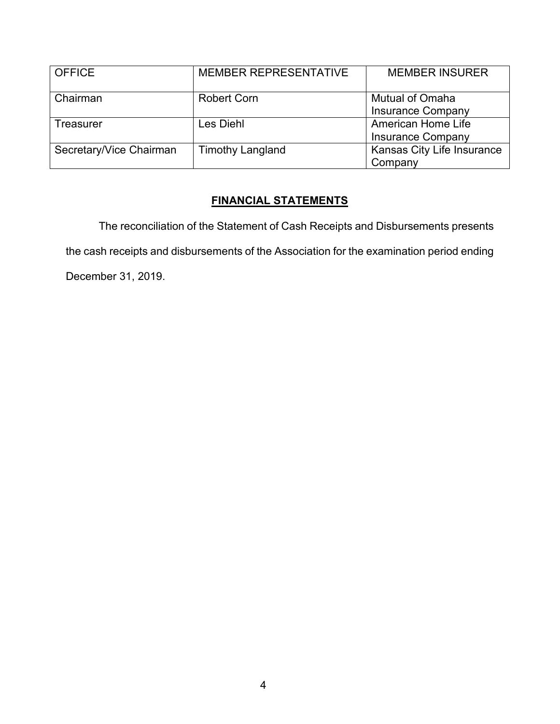| <b>OFFICE</b>           | <b>MEMBER REPRESENTATIVE</b> | <b>MEMBER INSURER</b>      |
|-------------------------|------------------------------|----------------------------|
| Chairman                | <b>Robert Corn</b>           | <b>Mutual of Omaha</b>     |
|                         |                              | <b>Insurance Company</b>   |
| <b>Treasurer</b>        | Les Diehl                    | <b>American Home Life</b>  |
|                         |                              | <b>Insurance Company</b>   |
| Secretary/Vice Chairman | <b>Timothy Langland</b>      | Kansas City Life Insurance |
|                         |                              | Company                    |

# **FINANCIAL STATEMENTS**

The reconciliation of the Statement of Cash Receipts and Disbursements presents the cash receipts and disbursements of the Association for the examination period ending December 31, 2019.